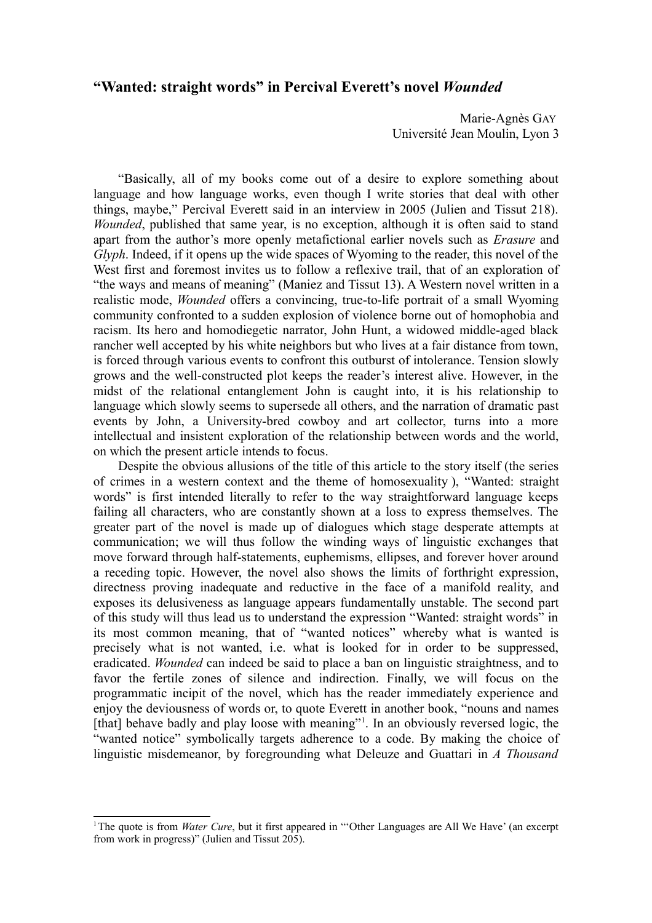# **"Wanted: straight words" in Percival Everett's novel** *Wounded*

Marie-Agnès GAY Université Jean Moulin, Lyon 3

"Basically, all of my books come out of a desire to explore something about language and how language works, even though I write stories that deal with other things, maybe," Percival Everett said in an interview in 2005 (Julien and Tissut 218). *Wounded*, published that same year, is no exception, although it is often said to stand apart from the author's more openly metafictional earlier novels such as *Erasure* and *Glyph*. Indeed, if it opens up the wide spaces of Wyoming to the reader, this novel of the West first and foremost invites us to follow a reflexive trail, that of an exploration of "the ways and means of meaning" (Maniez and Tissut 13). A Western novel written in a realistic mode, *Wounded* offers a convincing, true-to-life portrait of a small Wyoming community confronted to a sudden explosion of violence borne out of homophobia and racism. Its hero and homodiegetic narrator, John Hunt, a widowed middle-aged black rancher well accepted by his white neighbors but who lives at a fair distance from town, is forced through various events to confront this outburst of intolerance. Tension slowly grows and the well-constructed plot keeps the reader's interest alive. However, in the midst of the relational entanglement John is caught into, it is his relationship to language which slowly seems to supersede all others, and the narration of dramatic past events by John, a University-bred cowboy and art collector, turns into a more intellectual and insistent exploration of the relationship between words and the world, on which the present article intends to focus.

Despite the obvious allusions of the title of this article to the story itself (the series of crimes in a western context and the theme of homosexuality ), "Wanted: straight words" is first intended literally to refer to the way straightforward language keeps failing all characters, who are constantly shown at a loss to express themselves. The greater part of the novel is made up of dialogues which stage desperate attempts at communication; we will thus follow the winding ways of linguistic exchanges that move forward through half-statements, euphemisms, ellipses, and forever hover around a receding topic. However, the novel also shows the limits of forthright expression, directness proving inadequate and reductive in the face of a manifold reality, and exposes its delusiveness as language appears fundamentally unstable. The second part of this study will thus lead us to understand the expression "Wanted: straight words" in its most common meaning, that of "wanted notices" whereby what is wanted is precisely what is not wanted, i.e. what is looked for in order to be suppressed, eradicated. *Wounded* can indeed be said to place a ban on linguistic straightness, and to favor the fertile zones of silence and indirection. Finally, we will focus on the programmatic incipit of the novel, which has the reader immediately experience and enjoy the deviousness of words or, to quote Everett in another book, "nouns and names [that] behave badly and play loose with meaning"<sup>[1](#page-0-0)</sup>. In an obviously reversed logic, the "wanted notice" symbolically targets adherence to a code. By making the choice of linguistic misdemeanor, by foregrounding what Deleuze and Guattari in *A Thousand*

<span id="page-0-0"></span><sup>&</sup>lt;sup>1</sup>The quote is from *Water Cure*, but it first appeared in "Other Languages are All We Have' (an excerpt from work in progress)" (Julien and Tissut 205).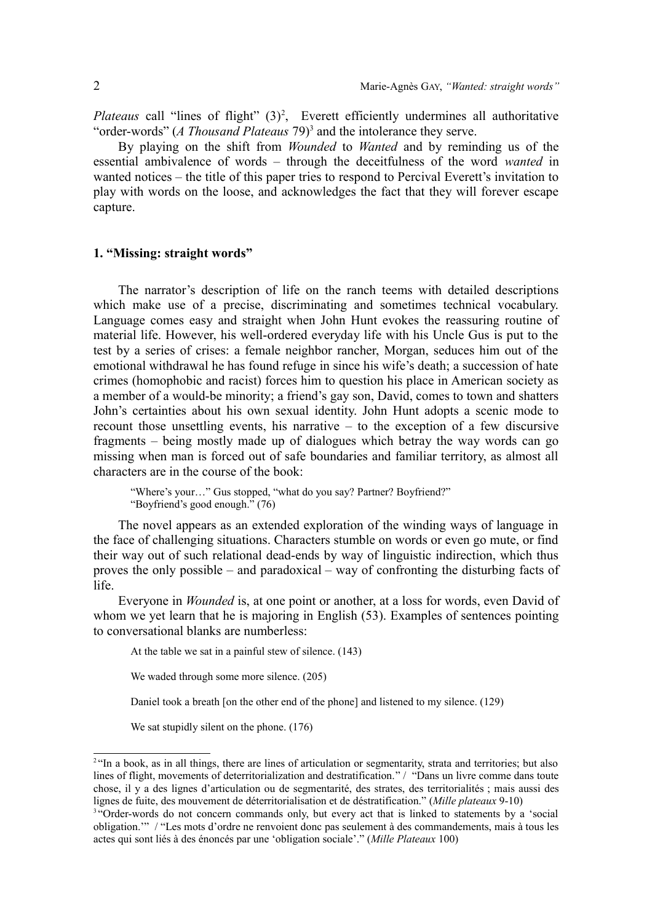Plateaus call "lines of flight" (3)<sup>[2](#page-1-0)</sup>, Everett efficiently undermines all authoritative "order-words" (*A Thousand Plateaus* 79)<sup>[3](#page-1-1)</sup> and the intolerance they serve.

By playing on the shift from *Wounded* to *Wanted* and by reminding us of the essential ambivalence of words – through the deceitfulness of the word *wanted* in wanted notices – the title of this paper tries to respond to Percival Everett's invitation to play with words on the loose, and acknowledges the fact that they will forever escape capture.

### **1. "Missing: straight words"**

The narrator's description of life on the ranch teems with detailed descriptions which make use of a precise, discriminating and sometimes technical vocabulary. Language comes easy and straight when John Hunt evokes the reassuring routine of material life. However, his well-ordered everyday life with his Uncle Gus is put to the test by a series of crises: a female neighbor rancher, Morgan, seduces him out of the emotional withdrawal he has found refuge in since his wife's death; a succession of hate crimes (homophobic and racist) forces him to question his place in American society as a member of a would-be minority; a friend's gay son, David, comes to town and shatters John's certainties about his own sexual identity. John Hunt adopts a scenic mode to recount those unsettling events, his narrative – to the exception of a few discursive fragments – being mostly made up of dialogues which betray the way words can go missing when man is forced out of safe boundaries and familiar territory, as almost all characters are in the course of the book:

"Where's your…" Gus stopped, "what do you say? Partner? Boyfriend?" "Boyfriend's good enough." (76)

The novel appears as an extended exploration of the winding ways of language in the face of challenging situations. Characters stumble on words or even go mute, or find their way out of such relational dead-ends by way of linguistic indirection, which thus proves the only possible – and paradoxical – way of confronting the disturbing facts of life.

Everyone in *Wounded* is, at one point or another, at a loss for words, even David of whom we yet learn that he is majoring in English (53). Examples of sentences pointing to conversational blanks are numberless:

At the table we sat in a painful stew of silence. (143)

We waded through some more silence. (205)

Daniel took a breath [on the other end of the phone] and listened to my silence. (129)

We sat stupidly silent on the phone. (176)

<span id="page-1-0"></span><sup>&</sup>lt;sup>2</sup> "In a book, as in all things, there are lines of articulation or segmentarity, strata and territories; but also lines of flight, movements of deterritorialization and destratification." / "Dans un livre comme dans toute chose, il y a des lignes d'articulation ou de segmentarité, des strates, des territorialités ; mais aussi des lignes de fuite, des mouvement de déterritorialisation et de déstratification." (*Mille plateaux* 9-10)

<span id="page-1-1"></span><sup>&</sup>lt;sup>3</sup> "Order-words do not concern commands only, but every act that is linked to statements by a 'social obligation.'" / "Les mots d'ordre ne renvoient donc pas seulement à des commandements, mais à tous les actes qui sont liés à des énoncés par une 'obligation sociale'." (*Mille Plateaux* 100)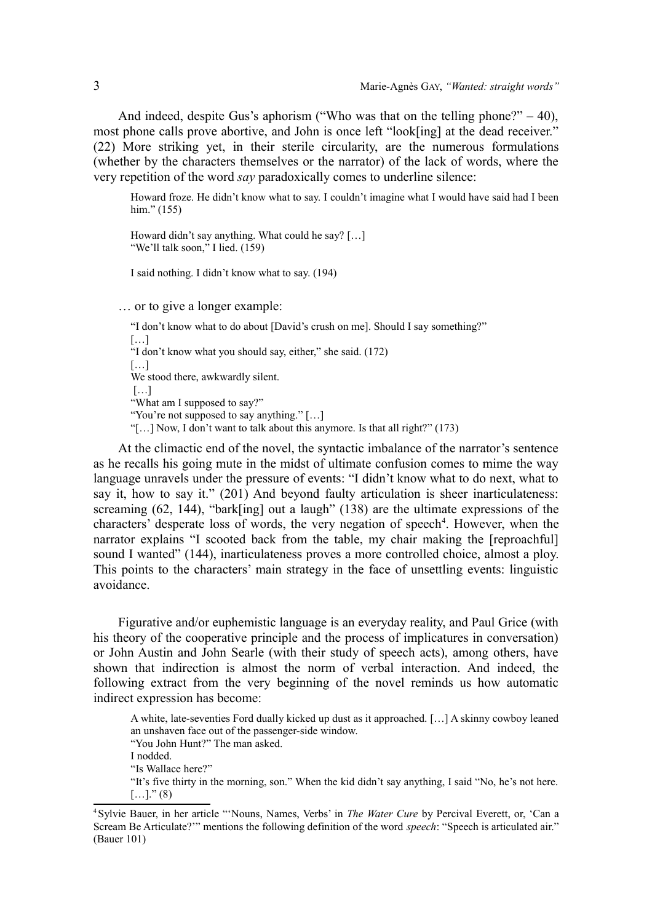And indeed, despite Gus's aphorism ("Who was that on the telling phone?" – 40), most phone calls prove abortive, and John is once left "look[ing] at the dead receiver." (22) More striking yet, in their sterile circularity, are the numerous formulations (whether by the characters themselves or the narrator) of the lack of words, where the very repetition of the word *say* paradoxically comes to underline silence:

Howard froze. He didn't know what to say. I couldn't imagine what I would have said had I been him." (155)

Howard didn't say anything. What could he say? […] "We'll talk soon," I lied. (159)

I said nothing. I didn't know what to say. (194)

… or to give a longer example:

"I don't know what to do about [David's crush on me]. Should I say something?" […] "I don't know what you should say, either," she said. (172) […] We stood there, awkwardly silent.  $[\dots]$ "What am I supposed to say?" "You're not supposed to say anything." […] "[…] Now, I don't want to talk about this anymore. Is that all right?" (173)

At the climactic end of the novel, the syntactic imbalance of the narrator's sentence as he recalls his going mute in the midst of ultimate confusion comes to mime the way language unravels under the pressure of events: "I didn't know what to do next, what to say it, how to say it." (201) And beyond faulty articulation is sheer inarticulateness: screaming (62, 144), "bark[ing] out a laugh" (138) are the ultimate expressions of the characters' desperate loss of words, the very negation of speech<sup>[4](#page-2-0)</sup>. However, when the narrator explains "I scooted back from the table, my chair making the [reproachful] sound I wanted" (144), inarticulateness proves a more controlled choice, almost a ploy. This points to the characters' main strategy in the face of unsettling events: linguistic avoidance.

Figurative and/or euphemistic language is an everyday reality, and Paul Grice (with his theory of the cooperative principle and the process of implicatures in conversation) or John Austin and John Searle (with their study of speech acts), among others, have shown that indirection is almost the norm of verbal interaction. And indeed, the following extract from the very beginning of the novel reminds us how automatic indirect expression has become:

A white, late-seventies Ford dually kicked up dust as it approached. […] A skinny cowboy leaned an unshaven face out of the passenger-side window. "You John Hunt?" The man asked. I nodded. "Is Wallace here?" "It's five thirty in the morning, son." When the kid didn't say anything, I said "No, he's not here.  $[...]$ ." (8)

<span id="page-2-0"></span><sup>4</sup>Sylvie Bauer, in her article "'Nouns, Names, Verbs' in *The Water Cure* by Percival Everett, or, 'Can a Scream Be Articulate?'" mentions the following definition of the word *speech*: "Speech is articulated air." (Bauer 101)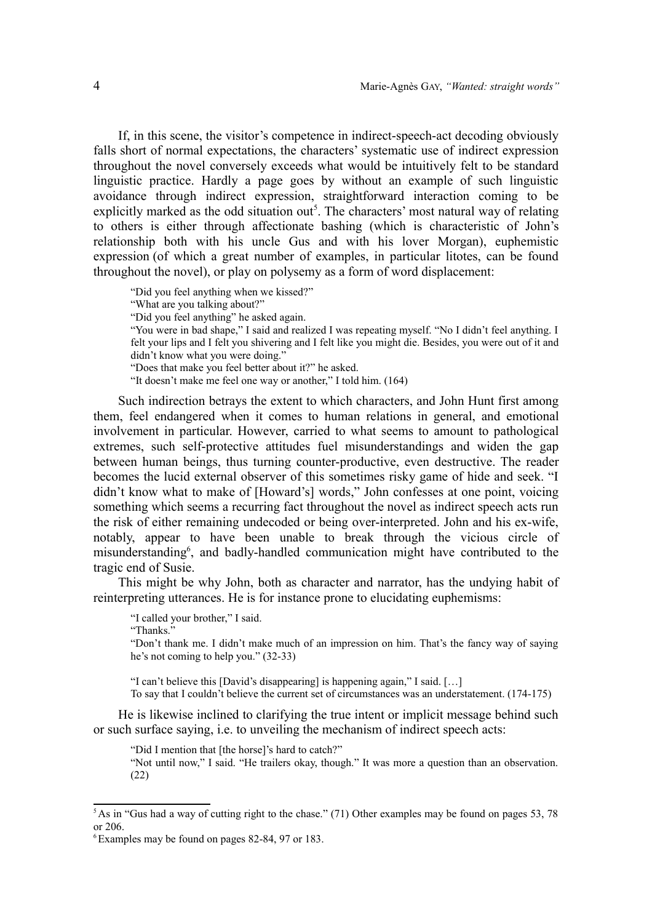If, in this scene, the visitor's competence in indirect-speech-act decoding obviously falls short of normal expectations, the characters' systematic use of indirect expression throughout the novel conversely exceeds what would be intuitively felt to be standard linguistic practice. Hardly a page goes by without an example of such linguistic avoidance through indirect expression, straightforward interaction coming to be explicitly marked as the odd situation out<sup>[5](#page-3-0)</sup>. The characters' most natural way of relating to others is either through affectionate bashing (which is characteristic of John's relationship both with his uncle Gus and with his lover Morgan), euphemistic expression (of which a great number of examples, in particular litotes, can be found throughout the novel), or play on polysemy as a form of word displacement:

"Did you feel anything when we kissed?" "What are you talking about?" "Did you feel anything" he asked again. "You were in bad shape," I said and realized I was repeating myself. "No I didn't feel anything. I felt your lips and I felt you shivering and I felt like you might die. Besides, you were out of it and didn't know what you were doing." "Does that make you feel better about it?" he asked. "It doesn't make me feel one way or another," I told him. (164)

Such indirection betrays the extent to which characters, and John Hunt first among them, feel endangered when it comes to human relations in general, and emotional involvement in particular. However, carried to what seems to amount to pathological extremes, such self-protective attitudes fuel misunderstandings and widen the gap between human beings, thus turning counter-productive, even destructive. The reader becomes the lucid external observer of this sometimes risky game of hide and seek. "I didn't know what to make of [Howard's] words," John confesses at one point, voicing something which seems a recurring fact throughout the novel as indirect speech acts run the risk of either remaining undecoded or being over-interpreted. John and his ex-wife, notably, appear to have been unable to break through the vicious circle of misunderstanding<sup>[6](#page-3-1)</sup>, and badly-handled communication might have contributed to the tragic end of Susie.

This might be why John, both as character and narrator, has the undying habit of reinterpreting utterances. He is for instance prone to elucidating euphemisms:

"I called your brother," I said.

"Thanks."

"Don't thank me. I didn't make much of an impression on him. That's the fancy way of saying he's not coming to help you." (32-33)

"I can't believe this [David's disappearing] is happening again," I said. […]

To say that I couldn't believe the current set of circumstances was an understatement. (174-175)

He is likewise inclined to clarifying the true intent or implicit message behind such or such surface saying, i.e. to unveiling the mechanism of indirect speech acts:

"Did I mention that [the horse]'s hard to catch?"

"Not until now," I said. "He trailers okay, though." It was more a question than an observation. (22)

<span id="page-3-0"></span><sup>&</sup>lt;sup>5</sup>As in "Gus had a way of cutting right to the chase." (71) Other examples may be found on pages 53, 78 or 206.

<span id="page-3-1"></span><sup>6</sup> Examples may be found on pages 82-84, 97 or 183.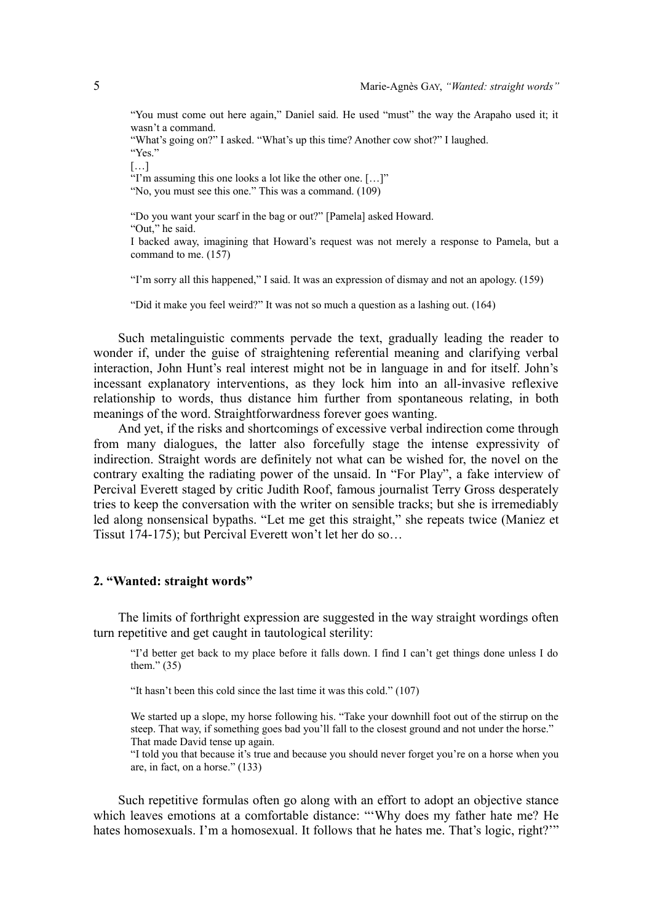"You must come out here again," Daniel said. He used "must" the way the Arapaho used it; it wasn't a command.

"What's going on?" I asked. "What's up this time? Another cow shot?" I laughed. "Yes."

[…]

"I'm assuming this one looks a lot like the other one. […]"

"No, you must see this one." This was a command.  $(109)$ 

"Do you want your scarf in the bag or out?" [Pamela] asked Howard.

"Out," he said.

I backed away, imagining that Howard's request was not merely a response to Pamela, but a command to me. (157)

"I'm sorry all this happened," I said. It was an expression of dismay and not an apology. (159)

"Did it make you feel weird?" It was not so much a question as a lashing out. (164)

Such metalinguistic comments pervade the text, gradually leading the reader to wonder if, under the guise of straightening referential meaning and clarifying verbal interaction, John Hunt's real interest might not be in language in and for itself. John's incessant explanatory interventions, as they lock him into an all-invasive reflexive relationship to words, thus distance him further from spontaneous relating, in both meanings of the word. Straightforwardness forever goes wanting.

And yet, if the risks and shortcomings of excessive verbal indirection come through from many dialogues, the latter also forcefully stage the intense expressivity of indirection. Straight words are definitely not what can be wished for, the novel on the contrary exalting the radiating power of the unsaid. In "For Play", a fake interview of Percival Everett staged by critic Judith Roof, famous journalist Terry Gross desperately tries to keep the conversation with the writer on sensible tracks; but she is irremediably led along nonsensical bypaths. "Let me get this straight," she repeats twice (Maniez et Tissut 174-175); but Percival Everett won't let her do so…

#### **2. "Wanted: straight words"**

The limits of forthright expression are suggested in the way straight wordings often turn repetitive and get caught in tautological sterility:

"I'd better get back to my place before it falls down. I find I can't get things done unless I do them." $(35)$ 

"It hasn't been this cold since the last time it was this cold." (107)

We started up a slope, my horse following his. "Take your downhill foot out of the stirrup on the steep. That way, if something goes bad you'll fall to the closest ground and not under the horse." That made David tense up again.

"I told you that because it's true and because you should never forget you're on a horse when you are, in fact, on a horse." (133)

Such repetitive formulas often go along with an effort to adopt an objective stance which leaves emotions at a comfortable distance: "Why does my father hate me? He hates homosexuals. I'm a homosexual. It follows that he hates me. That's logic, right?"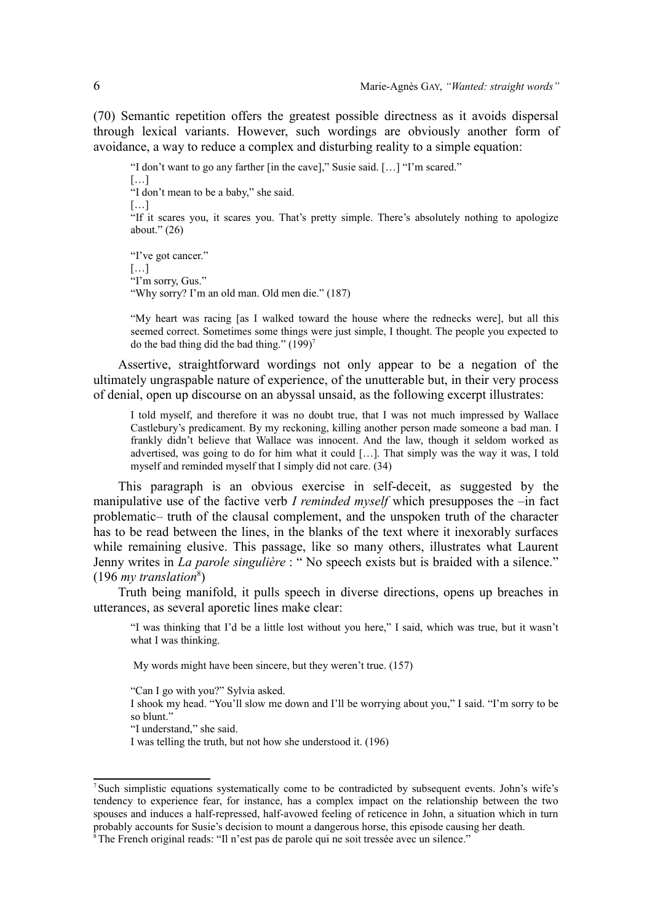(70) Semantic repetition offers the greatest possible directness as it avoids dispersal through lexical variants. However, such wordings are obviously another form of avoidance, a way to reduce a complex and disturbing reality to a simple equation:

"I don't want to go any farther [in the cave]," Susie said. […] "I'm scared."

[…] "I don't mean to be a baby," she said.

[…]

"If it scares you, it scares you. That's pretty simple. There's absolutely nothing to apologize about." (26)

"I've got cancer." […] "I'm sorry, Gus." "Why sorry? I'm an old man. Old men die." (187)

"My heart was racing [as I walked toward the house where the rednecks were], but all this seemed correct. Sometimes some things were just simple, I thought. The people you expected to do the bad thing did the bad thing."  $(199)^7$  $(199)^7$ 

Assertive, straightforward wordings not only appear to be a negation of the ultimately ungraspable nature of experience, of the unutterable but, in their very process of denial, open up discourse on an abyssal unsaid, as the following excerpt illustrates:

I told myself, and therefore it was no doubt true, that I was not much impressed by Wallace Castlebury's predicament. By my reckoning, killing another person made someone a bad man. I frankly didn't believe that Wallace was innocent. And the law, though it seldom worked as advertised, was going to do for him what it could […]. That simply was the way it was, I told myself and reminded myself that I simply did not care. (34)

This paragraph is an obvious exercise in self-deceit, as suggested by the manipulative use of the factive verb *I reminded myself* which presupposes the –in fact problematic– truth of the clausal complement, and the unspoken truth of the character has to be read between the lines, in the blanks of the text where it inexorably surfaces while remaining elusive. This passage, like so many others, illustrates what Laurent Jenny writes in *La parole singulière* : " No speech exists but is braided with a silence." (196 *my translation*[8](#page-5-1) )

Truth being manifold, it pulls speech in diverse directions, opens up breaches in utterances, as several aporetic lines make clear:

"I was thinking that I'd be a little lost without you here," I said, which was true, but it wasn't what I was thinking.

My words might have been sincere, but they weren't true. (157)

"Can I go with you?" Sylvia asked.

I shook my head. "You'll slow me down and I'll be worrying about you," I said. "I'm sorry to be so blunt."

"I understand," she said.

I was telling the truth, but not how she understood it. (196)

<span id="page-5-0"></span><sup>&</sup>lt;sup>7</sup>Such simplistic equations systematically come to be contradicted by subsequent events. John's wife's tendency to experience fear, for instance, has a complex impact on the relationship between the two spouses and induces a half-repressed, half-avowed feeling of reticence in John, a situation which in turn probably accounts for Susie's decision to mount a dangerous horse, this episode causing her death.

<span id="page-5-1"></span><sup>&</sup>lt;sup>8</sup> The French original reads: "Il n'est pas de parole qui ne soit tressée avec un silence."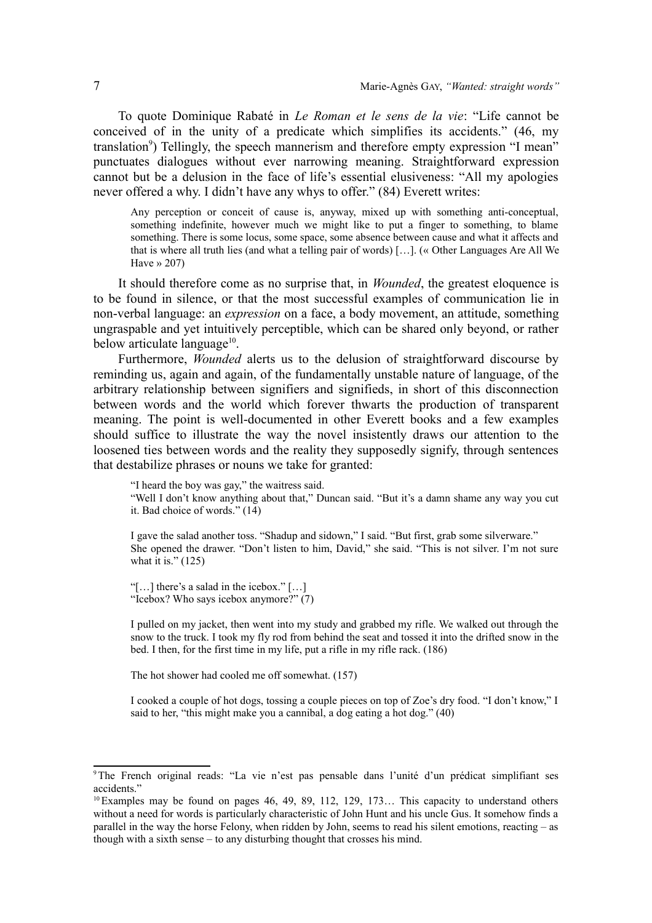To quote Dominique Rabaté in *Le Roman et le sens de la vie*: "Life cannot be conceived of in the unity of a predicate which simplifies its accidents." (46, my translation<sup>[9](#page-6-0)</sup>) Tellingly, the speech mannerism and therefore empty expression "I mean" punctuates dialogues without ever narrowing meaning. Straightforward expression cannot but be a delusion in the face of life's essential elusiveness: "All my apologies never offered a why. I didn't have any whys to offer." (84) Everett writes:

Any perception or conceit of cause is, anyway, mixed up with something anti-conceptual, something indefinite, however much we might like to put a finger to something, to blame something. There is some locus, some space, some absence between cause and what it affects and that is where all truth lies (and what a telling pair of words) […]. (« Other Languages Are All We Have  $\gg 207$ )

It should therefore come as no surprise that, in *Wounded*, the greatest eloquence is to be found in silence, or that the most successful examples of communication lie in non-verbal language: an *expression* on a face, a body movement, an attitude, something ungraspable and yet intuitively perceptible, which can be shared only beyond, or rather below articulate language<sup>[10](#page-6-1)</sup>.

Furthermore, *Wounded* alerts us to the delusion of straightforward discourse by reminding us, again and again, of the fundamentally unstable nature of language, of the arbitrary relationship between signifiers and signifieds, in short of this disconnection between words and the world which forever thwarts the production of transparent meaning. The point is well-documented in other Everett books and a few examples should suffice to illustrate the way the novel insistently draws our attention to the loosened ties between words and the reality they supposedly signify, through sentences that destabilize phrases or nouns we take for granted:

"I heard the boy was gay," the waitress said.

"Well I don't know anything about that," Duncan said. "But it's a damn shame any way you cut it. Bad choice of words." (14)

I gave the salad another toss. "Shadup and sidown," I said. "But first, grab some silverware." She opened the drawer. "Don't listen to him, David," she said. "This is not silver. I'm not sure what it is."  $(125)$ 

"[…] there's a salad in the icebox." […] "Icebox? Who says icebox anymore?" (7)

I pulled on my jacket, then went into my study and grabbed my rifle. We walked out through the snow to the truck. I took my fly rod from behind the seat and tossed it into the drifted snow in the bed. I then, for the first time in my life, put a rifle in my rifle rack. (186)

The hot shower had cooled me off somewhat. (157)

I cooked a couple of hot dogs, tossing a couple pieces on top of Zoe's dry food. "I don't know," I said to her, "this might make you a cannibal, a dog eating a hot dog." (40)

<span id="page-6-0"></span><sup>9</sup>The French original reads: "La vie n'est pas pensable dans l'unité d'un prédicat simplifiant ses accidents<sup>"</sup>

<span id="page-6-1"></span> $10$  Examples may be found on pages 46, 49, 89, 112, 129, 173… This capacity to understand others without a need for words is particularly characteristic of John Hunt and his uncle Gus. It somehow finds a parallel in the way the horse Felony, when ridden by John, seems to read his silent emotions, reacting – as though with a sixth sense – to any disturbing thought that crosses his mind.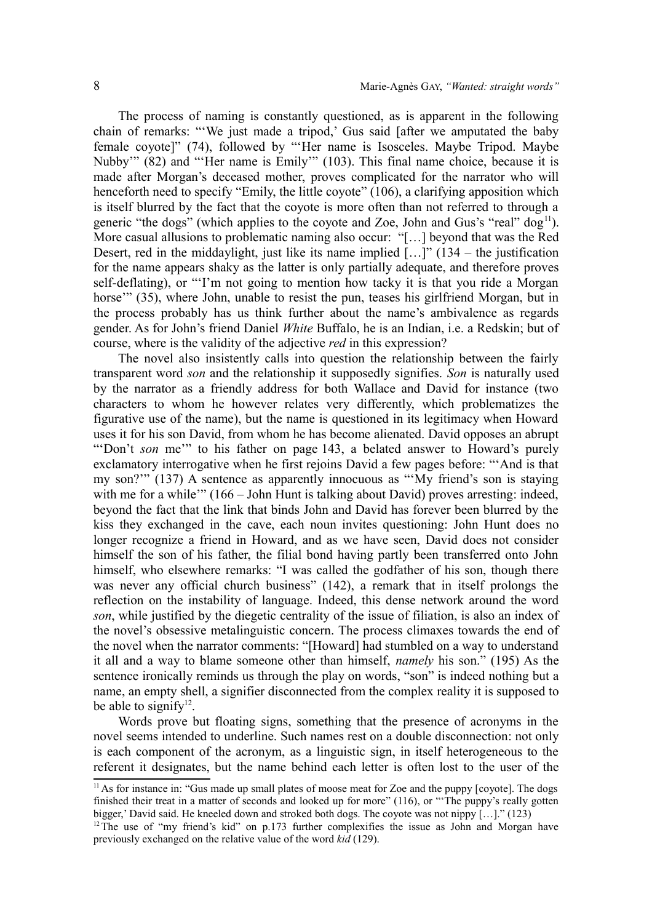The process of naming is constantly questioned, as is apparent in the following chain of remarks: "'We just made a tripod,' Gus said [after we amputated the baby female coyote]" (74), followed by "'Her name is Isosceles. Maybe Tripod. Maybe Nubby'" (82) and "'Her name is Emily'" (103). This final name choice, because it is made after Morgan's deceased mother, proves complicated for the narrator who will henceforth need to specify "Emily, the little coyote" (106), a clarifying apposition which is itself blurred by the fact that the coyote is more often than not referred to through a generic "the dogs" (which applies to the coyote and Zoe, John and Gus's "real" dog<sup>[11](#page-7-0)</sup>). More casual allusions to problematic naming also occur: "[…] beyond that was the Red Desert, red in the middaylight, just like its name implied  $[...]$  (134 – the justification for the name appears shaky as the latter is only partially adequate, and therefore proves self-deflating), or "'I'm not going to mention how tacky it is that you ride a Morgan horse'" (35), where John, unable to resist the pun, teases his girlfriend Morgan, but in the process probably has us think further about the name's ambivalence as regards gender. As for John's friend Daniel *White* Buffalo, he is an Indian, i.e. a Redskin; but of course, where is the validity of the adjective *red* in this expression?

The novel also insistently calls into question the relationship between the fairly transparent word *son* and the relationship it supposedly signifies. *Son* is naturally used by the narrator as a friendly address for both Wallace and David for instance (two characters to whom he however relates very differently, which problematizes the figurative use of the name), but the name is questioned in its legitimacy when Howard uses it for his son David, from whom he has become alienated. David opposes an abrupt "Don't *son* me" to his father on page 143, a belated answer to Howard's purely exclamatory interrogative when he first rejoins David a few pages before: "'And is that my son?'" (137) A sentence as apparently innocuous as "'My friend's son is staying with me for a while'" (166 – John Hunt is talking about David) proves arresting: indeed, beyond the fact that the link that binds John and David has forever been blurred by the kiss they exchanged in the cave, each noun invites questioning: John Hunt does no longer recognize a friend in Howard, and as we have seen, David does not consider himself the son of his father, the filial bond having partly been transferred onto John himself, who elsewhere remarks: "I was called the godfather of his son, though there was never any official church business" (142), a remark that in itself prolongs the reflection on the instability of language. Indeed, this dense network around the word *son*, while justified by the diegetic centrality of the issue of filiation, is also an index of the novel's obsessive metalinguistic concern. The process climaxes towards the end of the novel when the narrator comments: "[Howard] had stumbled on a way to understand it all and a way to blame someone other than himself, *namely* his son." (195) As the sentence ironically reminds us through the play on words, "son" is indeed nothing but a name, an empty shell, a signifier disconnected from the complex reality it is supposed to be able to signify<sup>[12](#page-7-1)</sup>.

Words prove but floating signs, something that the presence of acronyms in the novel seems intended to underline. Such names rest on a double disconnection: not only is each component of the acronym, as a linguistic sign, in itself heterogeneous to the referent it designates, but the name behind each letter is often lost to the user of the

<span id="page-7-0"></span> $<sup>11</sup>$ As for instance in: "Gus made up small plates of moose meat for Zoe and the puppy [coyote]. The dogs</sup> finished their treat in a matter of seconds and looked up for more" (116), or "'The puppy's really gotten bigger,' David said. He kneeled down and stroked both dogs. The coyote was not nippy [...]." (123)

<span id="page-7-1"></span> $12$ <sup>12</sup>The use of "my friend's kid" on p.173 further complexifies the issue as John and Morgan have previously exchanged on the relative value of the word *kid* (129).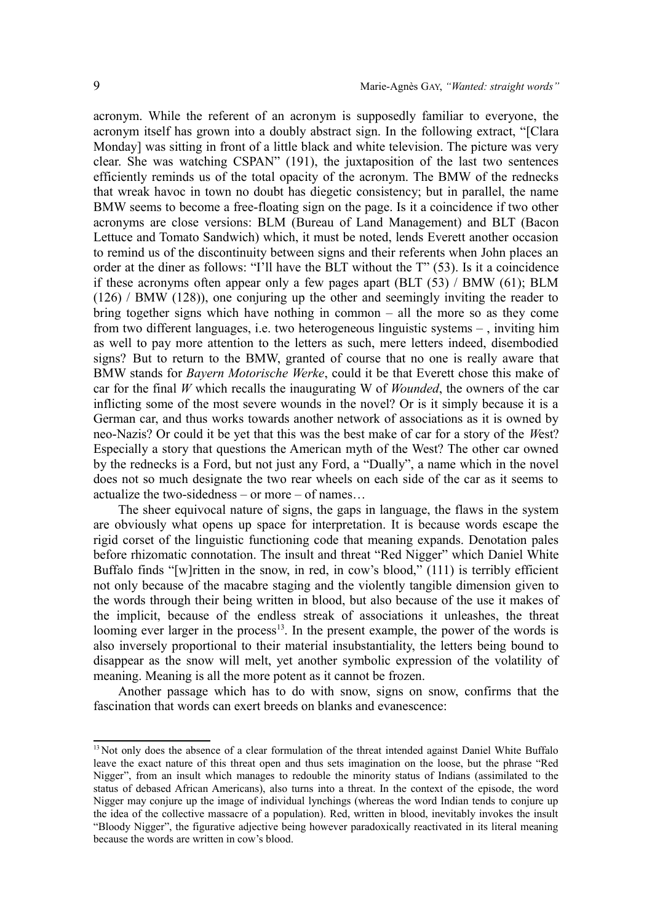acronym. While the referent of an acronym is supposedly familiar to everyone, the acronym itself has grown into a doubly abstract sign. In the following extract, "[Clara Monday] was sitting in front of a little black and white television. The picture was very clear. She was watching CSPAN" (191), the juxtaposition of the last two sentences efficiently reminds us of the total opacity of the acronym. The BMW of the rednecks that wreak havoc in town no doubt has diegetic consistency; but in parallel, the name BMW seems to become a free-floating sign on the page. Is it a coincidence if two other acronyms are close versions: BLM (Bureau of Land Management) and BLT (Bacon Lettuce and Tomato Sandwich) which, it must be noted, lends Everett another occasion to remind us of the discontinuity between signs and their referents when John places an order at the diner as follows: "I'll have the BLT without the T" (53). Is it a coincidence if these acronyms often appear only a few pages apart (BLT (53) / BMW (61); BLM (126) / BMW (128)), one conjuring up the other and seemingly inviting the reader to bring together signs which have nothing in common – all the more so as they come from two different languages, i.e. two heterogeneous linguistic systems – , inviting him as well to pay more attention to the letters as such, mere letters indeed, disembodied signs? But to return to the BMW, granted of course that no one is really aware that BMW stands for *Bayern Motorische Werke*, could it be that Everett chose this make of car for the final *W* which recalls the inaugurating W of *Wounded*, the owners of the car inflicting some of the most severe wounds in the novel? Or is it simply because it is a German car, and thus works towards another network of associations as it is owned by neo-Nazis? Or could it be yet that this was the best make of car for a story of the *W*est? Especially a story that questions the American myth of the West? The other car owned by the rednecks is a Ford, but not just any Ford, a "Dually", a name which in the novel does not so much designate the two rear wheels on each side of the car as it seems to actualize the two-sidedness – or more – of names…

The sheer equivocal nature of signs, the gaps in language, the flaws in the system are obviously what opens up space for interpretation. It is because words escape the rigid corset of the linguistic functioning code that meaning expands. Denotation pales before rhizomatic connotation. The insult and threat "Red Nigger" which Daniel White Buffalo finds "[w]ritten in the snow, in red, in cow's blood," (111) is terribly efficient not only because of the macabre staging and the violently tangible dimension given to the words through their being written in blood, but also because of the use it makes of the implicit, because of the endless streak of associations it unleashes, the threat looming ever larger in the process<sup>[13](#page-8-0)</sup>. In the present example, the power of the words is also inversely proportional to their material insubstantiality, the letters being bound to disappear as the snow will melt, yet another symbolic expression of the volatility of meaning. Meaning is all the more potent as it cannot be frozen.

Another passage which has to do with snow, signs on snow, confirms that the fascination that words can exert breeds on blanks and evanescence:

<span id="page-8-0"></span><sup>&</sup>lt;sup>13</sup> Not only does the absence of a clear formulation of the threat intended against Daniel White Buffalo leave the exact nature of this threat open and thus sets imagination on the loose, but the phrase "Red Nigger", from an insult which manages to redouble the minority status of Indians (assimilated to the status of debased African Americans), also turns into a threat. In the context of the episode, the word Nigger may conjure up the image of individual lynchings (whereas the word Indian tends to conjure up the idea of the collective massacre of a population). Red, written in blood, inevitably invokes the insult "Bloody Nigger", the figurative adjective being however paradoxically reactivated in its literal meaning because the words are written in cow's blood.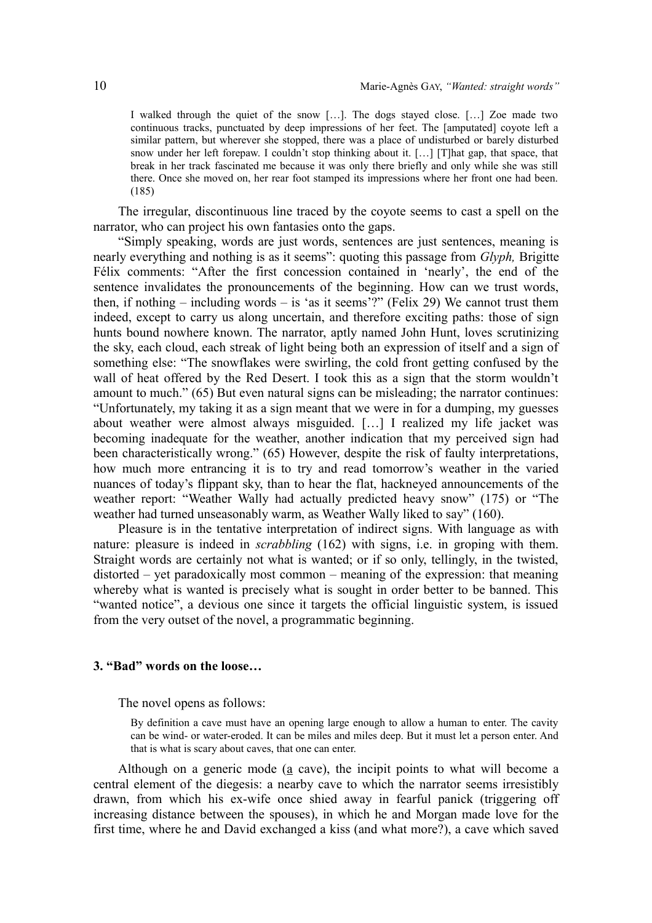I walked through the quiet of the snow […]. The dogs stayed close. […] Zoe made two continuous tracks, punctuated by deep impressions of her feet. The [amputated] coyote left a similar pattern, but wherever she stopped, there was a place of undisturbed or barely disturbed snow under her left forepaw. I couldn't stop thinking about it. […] [T]hat gap, that space, that break in her track fascinated me because it was only there briefly and only while she was still there. Once she moved on, her rear foot stamped its impressions where her front one had been. (185)

The irregular, discontinuous line traced by the coyote seems to cast a spell on the narrator, who can project his own fantasies onto the gaps.

"Simply speaking, words are just words, sentences are just sentences, meaning is nearly everything and nothing is as it seems": quoting this passage from *Glyph,* Brigitte Félix comments: "After the first concession contained in 'nearly', the end of the sentence invalidates the pronouncements of the beginning. How can we trust words, then, if nothing – including words – is 'as it seems'?" (Felix 29) We cannot trust them indeed, except to carry us along uncertain, and therefore exciting paths: those of sign hunts bound nowhere known. The narrator, aptly named John Hunt, loves scrutinizing the sky, each cloud, each streak of light being both an expression of itself and a sign of something else: "The snowflakes were swirling, the cold front getting confused by the wall of heat offered by the Red Desert. I took this as a sign that the storm wouldn't amount to much." (65) But even natural signs can be misleading; the narrator continues: "Unfortunately, my taking it as a sign meant that we were in for a dumping, my guesses about weather were almost always misguided. […] I realized my life jacket was becoming inadequate for the weather, another indication that my perceived sign had been characteristically wrong." (65) However, despite the risk of faulty interpretations, how much more entrancing it is to try and read tomorrow's weather in the varied nuances of today's flippant sky, than to hear the flat, hackneyed announcements of the weather report: "Weather Wally had actually predicted heavy snow" (175) or "The weather had turned unseasonably warm, as Weather Wally liked to say" (160).

Pleasure is in the tentative interpretation of indirect signs. With language as with nature: pleasure is indeed in *scrabbling* (162) with signs, i.e. in groping with them. Straight words are certainly not what is wanted; or if so only, tellingly, in the twisted, distorted – yet paradoxically most common – meaning of the expression: that meaning whereby what is wanted is precisely what is sought in order better to be banned. This "wanted notice", a devious one since it targets the official linguistic system, is issued from the very outset of the novel, a programmatic beginning.

### **3. "Bad" words on the loose…**

The novel opens as follows:

By definition a cave must have an opening large enough to allow a human to enter. The cavity can be wind- or water-eroded. It can be miles and miles deep. But it must let a person enter. And that is what is scary about caves, that one can enter.

Although on a generic mode  $(a \csc a)$ , the incipit points to what will become a central element of the diegesis: a nearby cave to which the narrator seems irresistibly drawn, from which his ex-wife once shied away in fearful panick (triggering off increasing distance between the spouses), in which he and Morgan made love for the first time, where he and David exchanged a kiss (and what more?), a cave which saved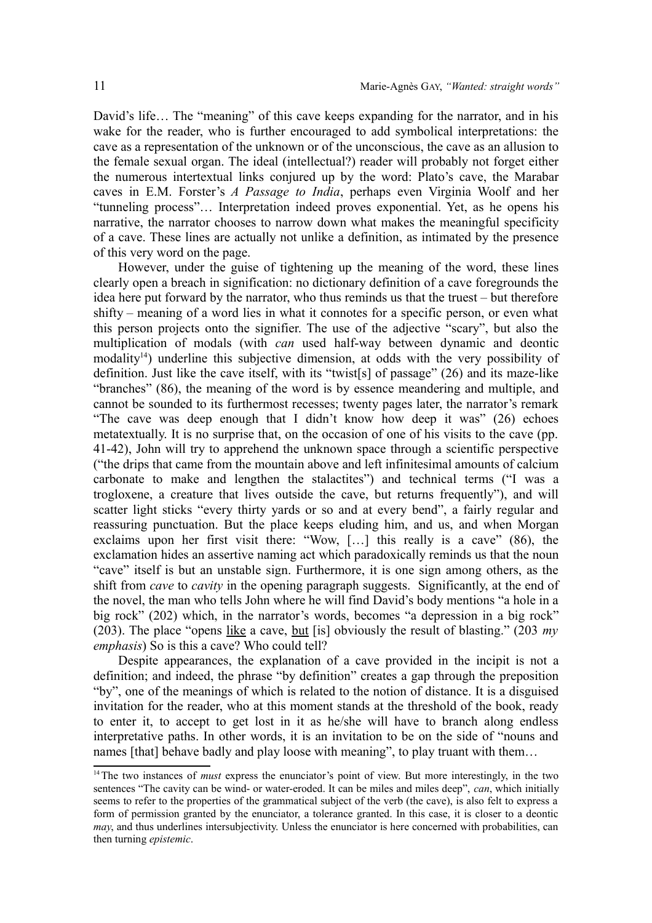David's life… The "meaning" of this cave keeps expanding for the narrator, and in his wake for the reader, who is further encouraged to add symbolical interpretations: the cave as a representation of the unknown or of the unconscious, the cave as an allusion to the female sexual organ. The ideal (intellectual?) reader will probably not forget either the numerous intertextual links conjured up by the word: Plato's cave, the Marabar caves in E.M. Forster's *A Passage to India*, perhaps even Virginia Woolf and her "tunneling process"… Interpretation indeed proves exponential. Yet, as he opens his narrative, the narrator chooses to narrow down what makes the meaningful specificity of a cave. These lines are actually not unlike a definition, as intimated by the presence of this very word on the page.

However, under the guise of tightening up the meaning of the word, these lines clearly open a breach in signification: no dictionary definition of a cave foregrounds the idea here put forward by the narrator, who thus reminds us that the truest – but therefore shifty – meaning of a word lies in what it connotes for a specific person, or even what this person projects onto the signifier. The use of the adjective "scary", but also the multiplication of modals (with *can* used half-way between dynamic and deontic modality<sup>[14](#page-10-0)</sup>) underline this subjective dimension, at odds with the very possibility of definition. Just like the cave itself, with its "twist[s] of passage" (26) and its maze-like "branches" (86), the meaning of the word is by essence meandering and multiple, and cannot be sounded to its furthermost recesses; twenty pages later, the narrator's remark "The cave was deep enough that I didn't know how deep it was" (26) echoes metatextually. It is no surprise that, on the occasion of one of his visits to the cave (pp. 41-42), John will try to apprehend the unknown space through a scientific perspective ("the drips that came from the mountain above and left infinitesimal amounts of calcium carbonate to make and lengthen the stalactites") and technical terms ("I was a trogloxene, a creature that lives outside the cave, but returns frequently"), and will scatter light sticks "every thirty yards or so and at every bend", a fairly regular and reassuring punctuation. But the place keeps eluding him, and us, and when Morgan exclaims upon her first visit there: "Wow, […] this really is a cave" (86), the exclamation hides an assertive naming act which paradoxically reminds us that the noun "cave" itself is but an unstable sign. Furthermore, it is one sign among others, as the shift from *cave* to *cavity* in the opening paragraph suggests. Significantly, at the end of the novel, the man who tells John where he will find David's body mentions "a hole in a big rock" (202) which, in the narrator's words, becomes "a depression in a big rock" (203). The place "opens like a cave, but [is] obviously the result of blasting." (203 *my emphasis*) So is this a cave? Who could tell?

Despite appearances, the explanation of a cave provided in the incipit is not a definition; and indeed, the phrase "by definition" creates a gap through the preposition "by", one of the meanings of which is related to the notion of distance. It is a disguised invitation for the reader, who at this moment stands at the threshold of the book, ready to enter it, to accept to get lost in it as he/she will have to branch along endless interpretative paths. In other words, it is an invitation to be on the side of "nouns and names [that] behave badly and play loose with meaning", to play truant with them...

<span id="page-10-0"></span><sup>&</sup>lt;sup>14</sup>The two instances of *must* express the enunciator's point of view. But more interestingly, in the two sentences "The cavity can be wind- or water-eroded. It can be miles and miles deep", *can*, which initially seems to refer to the properties of the grammatical subject of the verb (the cave), is also felt to express a form of permission granted by the enunciator, a tolerance granted. In this case, it is closer to a deontic *may*, and thus underlines intersubjectivity. Unless the enunciator is here concerned with probabilities, can then turning *epistemic*.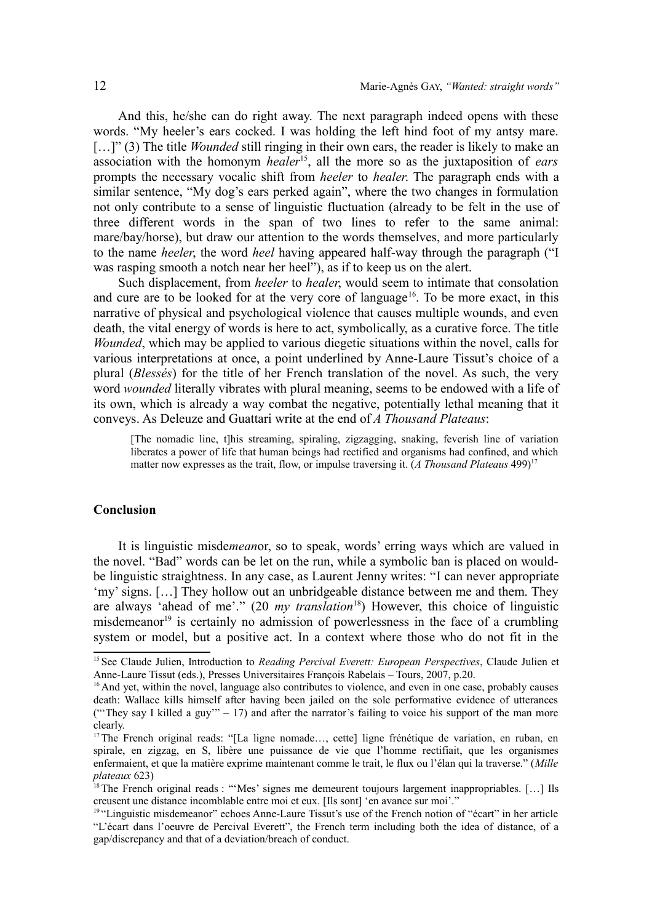And this, he/she can do right away. The next paragraph indeed opens with these words. "My heeler's ears cocked. I was holding the left hind foot of my antsy mare. [...]" (3) The title *Wounded* still ringing in their own ears, the reader is likely to make an association with the homonym *healer*[15](#page-11-0), all the more so as the juxtaposition of *ears* prompts the necessary vocalic shift from *heeler* to *healer*. The paragraph ends with a similar sentence, "My dog's ears perked again", where the two changes in formulation not only contribute to a sense of linguistic fluctuation (already to be felt in the use of three different words in the span of two lines to refer to the same animal: mare/bay/horse), but draw our attention to the words themselves, and more particularly to the name *heeler*, the word *heel* having appeared half-way through the paragraph ("I was rasping smooth a notch near her heel"), as if to keep us on the alert.

Such displacement, from *heeler* to *healer*, would seem to intimate that consolation and cure are to be looked for at the very core of language<sup>[16](#page-11-1)</sup>. To be more exact, in this narrative of physical and psychological violence that causes multiple wounds, and even death, the vital energy of words is here to act, symbolically, as a curative force. The title *Wounded*, which may be applied to various diegetic situations within the novel, calls for various interpretations at once, a point underlined by Anne-Laure Tissut's choice of a plural (*Blessés*) for the title of her French translation of the novel. As such, the very word *wounded* literally vibrates with plural meaning, seems to be endowed with a life of its own, which is already a way combat the negative, potentially lethal meaning that it conveys. As Deleuze and Guattari write at the end of *A Thousand Plateaus*:

[The nomadic line, t]his streaming, spiraling, zigzagging, snaking, feverish line of variation liberates a power of life that human beings had rectified and organisms had confined, and which matter now expresses as the trait, flow, or impulse traversing it. (*A Thousand Plateaus* 499)[17](#page-11-2)

## **Conclusion**

It is linguistic misde*mean*or, so to speak, words' erring ways which are valued in the novel. "Bad" words can be let on the run, while a symbolic ban is placed on wouldbe linguistic straightness. In any case, as Laurent Jenny writes: "I can never appropriate 'my' signs. […] They hollow out an unbridgeable distance between me and them. They are always 'ahead of me'." (20 *my translation*[18](#page-11-3)) However, this choice of linguistic misdemeanor<sup>[19](#page-11-4)</sup> is certainly no admission of powerlessness in the face of a crumbling system or model, but a positive act. In a context where those who do not fit in the

<span id="page-11-0"></span><sup>&</sup>lt;sup>15</sup> See Claude Julien, Introduction to *Reading Percival Everett: European Perspectives*, Claude Julien et Anne-Laure Tissut (eds.), Presses Universitaires François Rabelais – Tours, 2007, p.20.

<span id="page-11-1"></span><sup>&</sup>lt;sup>16</sup> And yet, within the novel, language also contributes to violence, and even in one case, probably causes death: Wallace kills himself after having been jailed on the sole performative evidence of utterances ("They say I killed a guy"  $-17$ ) and after the narrator's failing to voice his support of the man more clearly.

<span id="page-11-2"></span><sup>&</sup>lt;sup>17</sup>The French original reads: "[La ligne nomade..., cette] ligne frénétique de variation, en ruban, en spirale, en zigzag, en S, libère une puissance de vie que l'homme rectifiait, que les organismes enfermaient, et que la matière exprime maintenant comme le trait, le flux ou l'élan qui la traverse." (*Mille plateaux* 623)

<span id="page-11-3"></span> $18$ The French original reads : "'Mes' signes me demeurent toujours largement inappropriables. [...] Ils creusent une distance incomblable entre moi et eux. [Ils sont] 'en avance sur moi'."

<span id="page-11-4"></span><sup>&</sup>lt;sup>19 "</sup>Linguistic misdemeanor" echoes Anne-Laure Tissut's use of the French notion of "écart" in her article "L'écart dans l'oeuvre de Percival Everett", the French term including both the idea of distance, of a gap/discrepancy and that of a deviation/breach of conduct.